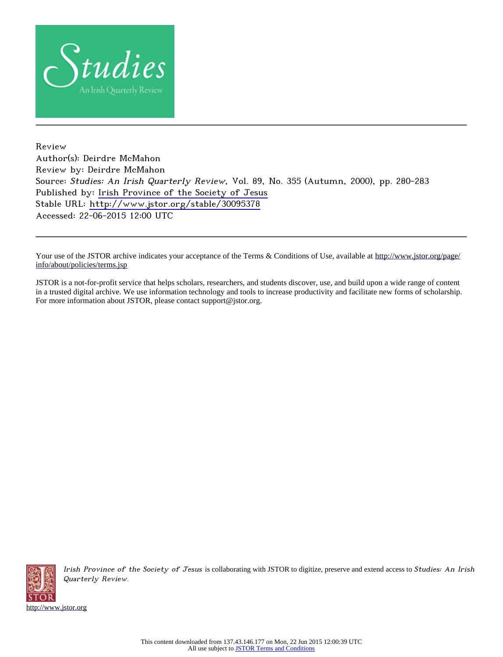

Review Author(s): Deirdre McMahon Review by: Deirdre McMahon Source: Studies: An Irish Quarterly Review, Vol. 89, No. 355 (Autumn, 2000), pp. 280-283 Published by: [Irish Province of the Society of Jesus](http://www.jstor.org/action/showPublisher?publisherCode=ipsj) Stable URL: <http://www.jstor.org/stable/30095378> Accessed: 22-06-2015 12:00 UTC

Your use of the JSTOR archive indicates your acceptance of the Terms & Conditions of Use, available at [http://www.jstor.org/page/](http://www.jstor.org/page/info/about/policies/terms.jsp) [info/about/policies/terms.jsp](http://www.jstor.org/page/info/about/policies/terms.jsp)

JSTOR is a not-for-profit service that helps scholars, researchers, and students discover, use, and build upon a wide range of content in a trusted digital archive. We use information technology and tools to increase productivity and facilitate new forms of scholarship. For more information about JSTOR, please contact support@jstor.org.



Irish Province of the Society of Jesus is collaborating with JSTOR to digitize, preserve and extend access to Studies: An Irish Quarterly Review.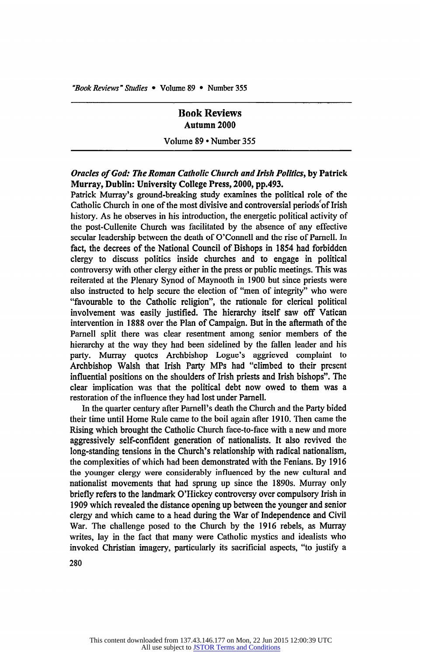"Book Reviews" Studies . Volume 89 . Number 355

# **Book Reviews Autumn 2000**

**Volume 89 Number 355** 

## **Oracles of God: The Roman Catholic Church and Irish Politics, by Patrick Murray, Dublin: University College Press, 2000, pp.493.**

**Patrick Murray's ground-breaking study examines the political role of the**  Catholic Church in one of the most divisive and controversial periods of Irish **history. As he observes in his introduction, the energetic political activity of the post-Cullenite Church was facilitated by the absence of any effective secular leadership between the death of O'Connell and the rise of Parnell. In fact, the decrees of the National Council of Bishops in 1854 had forbidden clergy to discuss politics inside churches and to engage in political controversy with other clergy either in the press or public meetings. This was reiterated at the Plenary Synod of Maynooth in 1900 but since priests were also instructed to help secure the election of "men of integrity" who were "favourable to the Catholic religion", the rationale for clerical political involvement was easily justified. The hierarchy itself saw off Vatican intervention in 1888 over the Plan of Campaign. But in the aftermath of the**  Parnell split there was clear resentment among senior members of the **hierarchy at the way they had been sidelined by the fallen leader and his party. Murray quotes Archbishop Logue's aggrieved complaint to Archbishop Walsh that Irish Party MPs had "climbed to their present influential positions on the shoulders of Irish priests and Irish bishops". The clear implication was that the political debt now owed to them was a restoration of the influence they had lost under Parnell.** 

**In the quarter century after Parnell's death the Church and the Party bided their time until Home Rule came to the boil again after 1910. Then came the Rising which brought the Catholic Church face-to-face with a new and more aggressively self-confident generation of nationalists. It also revived the long-standing tensions in the Church's relationship with radical nationalism,**  the complexities of which had been demonstrated with the Fenians. By 1916 **the younger clergy were considerably influenced by the new cultural and nationalist movements that had sprung up since the 1890s. Murray only briefly refers to the landmark O'Hickey controversy over compulsory Irish in 1909 which revealed the distance opening up between the younger and senior clergy and which came to a head during the War of Independence and Civil War. The challenge posed to the Church by the 1916 rebels, as Murray writes, lay in the fact that many were Catholic mystics and idealists who invoked Christian imagery, particularly its sacrificial aspects, "to justify a** 

**280**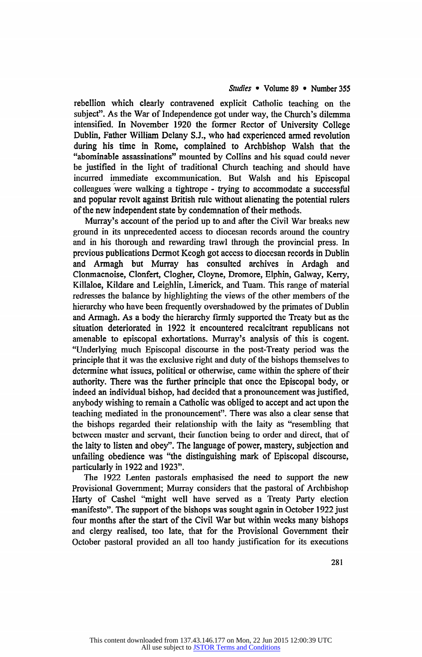## Studies • Volume 89 • Number 355

**rebellion which clearly contravened explicit Catholic teaching on the subject". As the War of Independence got under way, the Church's dilemma intensified. In November 1920 the former Rector of University College Dublin, Father William Delany S.J., who had experienced armed revolution during his time in Rome, complained to Archbishop Walsh that the "abominable assassinations" mounted by Collins and his squad could never be justified in the light of traditional Church teaching and should have incurred immediate excommunication. But Walsh and his Episcopal**  colleagues were walking a tightrope - trying to accommodate a successful **and popular revolt against British rule without alienating the potential rulers of the new independent state by condemnation of their methods.** 

**Murray's account of the period up to and after the Civil War breaks new ground in its unprecedented access to diocesan records around the country and in his thorough and rewarding trawl through the provincial press. In previous publications Dermot Keogh got access to diocesan records in Dublin and Armagh but Murray has consulted archives in Ardagh and Clonmacnoise, Clonfert, Clogher, Cloyne, Dromore, Elphin, Galway, Kerry, Killaloe, Kildare and Leighlin, Limerick, and Tuam. This range of material redresses the balance by highlighting the views of the other members of the hierarchy who have been frequently overshadowed by the primates of Dublin and Armagh. As a body the hierarchy firmly supported the Treaty but as the situation deteriorated in 1922 it encountered recalcitrant republicans not amenable to episcopal exhortations. Murray's analysis of this is cogent. "Underlying much Episcopal discourse in the post-Treaty period was the principle that it was the exclusive right and duty of the bishops themselves to determine what issues, political or otherwise, came within the sphere of their authority. There was the further principle that once the Episcopal body, or indeed an individual bishop, had decided that a pronouncement was justified,**  anybody wishing to remain a Catholic was obliged to accept and act upon the **teaching mediated in the pronouncement". There was also a clear sense that the bishops regarded their relationship with the laity as "resembling that between master and servant, their function being to order and direct, that of the laity to listen and obey". The language of power, mastery, subjection and unfailing obedience was "the distinguishing mark of Episcopal discourse, particularly in 1922 and 1923".** 

**The 1922 Lenten pastorals emphasised the need to support the new Provisional Government; Murray considers that the pastoral of Archbishop Harty of Cashel "might well have served as a Treaty Party election manifesto". The support of the bishops was sought again in October 1922 just**  four months after the start of the Civil War but within weeks many bishops **and clergy realised, too late, that for the Provisional Government their October pastoral provided an all too handy justification for its executions**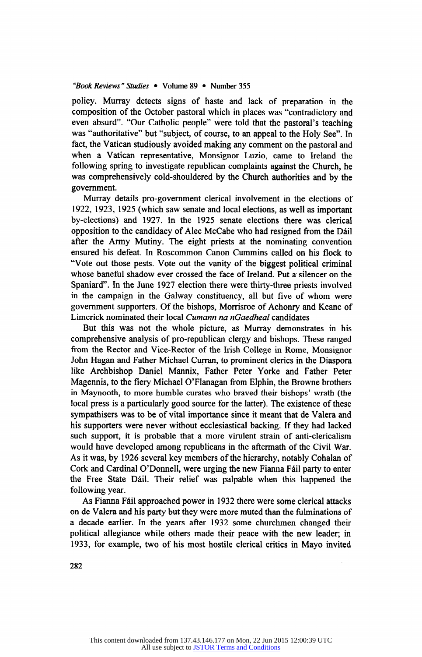#### **"Book Reviews" Studies Volume 89 Number 355**

**policy. Murray detects signs of haste and lack of preparation in the composition of the October pastoral which in places was "contradictory and even absurd". "Our Catholic people" were told that the pastoral's teaching was "authoritative" but "subject, of course, to an appeal to the Holy See". In fact, the Vatican studiously avoided making any comment on the pastoral and**  when a Vatican representative, Monsignor Luzio, came to Ireland the **following spring to investigate republican complaints against the Church, he was comprehensively cold-shouldered by the Church authorities and by the government.** 

**Murray details pro-government clerical involvement in the elections of 1922, 1923, 1925 (which saw senate and local elections, as well as important by-elections and 1927. In the 1925 senate elections there was clerical opposition to the candidacy of Alec McCabe who had resigned from the Dail after the Army Mutiny. The eight priests at the nominating convention**  ensured his defeat. In Roscommon Canon Cummins called on his flock to **"Vote out those pests. Vote out the vanity of the biggest political criminal whose baneful shadow ever crossed the face of Ireland. Put a silencer on the Spaniard". In the June 1927 election there were thirty-three priests involved in the campaign in the Galway constituency, all but five of whom were government supporters. Of the bishops, Morrisroe of Achonry and Keane of Limerick nominated their local Cumann na nGaedheal candidates** 

But this was not the whole picture, as Murray demonstrates in his **comprehensive analysis of pro-republican clergy and bishops. These ranged**  from the Rector and Vice-Rector of the Irish College in Rome, Monsignor **John Hagan and Father Michael Curran, to prominent clerics in the Diaspora like Archbishop Daniel Mannix, Father Peter Yorke and Father Peter Magennis, to the fiery Michael O'Flanagan from Elphin, the Browne brothers in Maynooth, to more humble curates who braved their bishops' wrath (the local press is a particularly good source for the latter). The existence of these sympathisers was to be of vital importance since it meant that de Valera and his supporters were never without ecclesiastical backing. If they had lacked such support, it is probable that a more virulent strain of anti-clericalism**  would have developed among republicans in the aftermath of the Civil War. **As it was, by 1926 several key members of the hierarchy, notably Cohalan of**  Cork and Cardinal O'Donnell, were urging the new Fianna Fáil party to enter **the Free State Dail. Their relief was palpable when this happened the following year.** 

**As Fianna Fail approached power in 1932 there were some clerical attacks on de Valera and his party but they were more muted than the fulminations of a decade earlier. In the years after 1932 some churchmen changed their political allegiance while others made their peace with the new leader; in 1933, for example, two of his most hostile clerical critics in Mayo invited** 

**282**